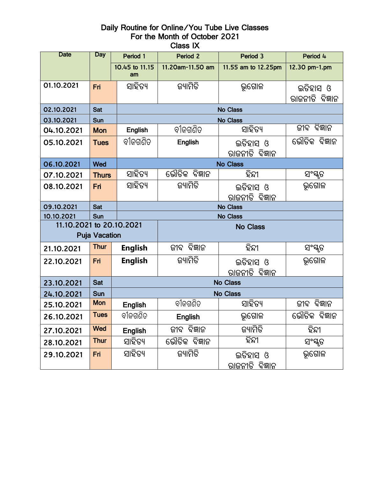## Daily Routine for Online/You Tube Live Classes For the Month of October 2021 Class IX

| <b>Date</b>              | Day                    | Period 1             | Period 2             | Period 3               | Period 4        |  |  |  |  |  |  |  |
|--------------------------|------------------------|----------------------|----------------------|------------------------|-----------------|--|--|--|--|--|--|--|
|                          |                        | 10.45 to 11.15<br>am | 11.20am-11.50 am     | 11.55 am to 12.25pm    | 12.30 pm-1.pm   |  |  |  |  |  |  |  |
| 01.10.2021               | Fri                    | ସାହିତ୍ୟ              | ଜ୍ୟାମିତି             | ଭୂଗୋଳ                  | ଇତିହାସ ଓ        |  |  |  |  |  |  |  |
|                          |                        |                      |                      |                        | ରାଜନୀତି ବିଜ୍ଞାନ |  |  |  |  |  |  |  |
| 02.10.2021               | <b>Sat</b>             |                      | <b>No Class</b>      |                        |                 |  |  |  |  |  |  |  |
| 03.10.2021               | Sun                    |                      | No Class             |                        |                 |  |  |  |  |  |  |  |
| 04.10.2021               | <b>Mon</b>             | English              | ବୀଜଗଣିତ              | ସାହିତ୍ୟ                | ଜୀବ ବିଜ୍ଞାନ     |  |  |  |  |  |  |  |
| 05.10.2021               | <b>Tues</b>            |                      | <b>English</b>       | ଇତିହାସ ଓ               | ଭୌତିକ ବିଜ୍ଞାନ   |  |  |  |  |  |  |  |
|                          |                        |                      |                      | ରାଜନୀତି ବିଜ୍ଞାନ        |                 |  |  |  |  |  |  |  |
| 06.10.2021               | Wed                    | <b>No Class</b>      |                      |                        |                 |  |  |  |  |  |  |  |
| 07.10.2021               | <b>Thurs</b>           | ସାହିତ୍ୟ              | ଭୌତିକ ବିଜ୍ଞାନ        | ହିନ୍ଦୀ                 | ସଂସ୍କୃତ         |  |  |  |  |  |  |  |
| 08.10.2021               | Fri                    | ସାହିତ୍ୟ              | ଜ୍ୟାମିତି             | ଇତିହାସ ଓ               | ଭୂଗୋଳ           |  |  |  |  |  |  |  |
|                          |                        |                      |                      | ରାଜନୀତି ବିଜ୍ଞାନ        |                 |  |  |  |  |  |  |  |
| 09.10.2021               | Sat                    |                      | <b>No Class</b>      |                        |                 |  |  |  |  |  |  |  |
| 10.10.2021               | <b>No Class</b><br>Sun |                      |                      |                        |                 |  |  |  |  |  |  |  |
| 11.10.2021 to 20.10.2021 | <b>Puja Vacation</b>   |                      | <b>No Class</b>      |                        |                 |  |  |  |  |  |  |  |
| 21.10.2021               | <b>Thur</b>            | <b>English</b>       | ବିଜ୍ଞାନ<br>ଜୀବ       | ହିନ୍ଦୀ                 | ସଂସ୍କୃତ         |  |  |  |  |  |  |  |
| 22.10.2021               | Fri                    | <b>English</b>       | ଜ୍ୟାମିତି             | ଇତିହାସ ଓ               | ଭୂଗୋଳ           |  |  |  |  |  |  |  |
|                          |                        |                      |                      | <u>ରାଜନୀତି ବିଜ୍ଞାନ</u> |                 |  |  |  |  |  |  |  |
| 23.10.2021               | Sat                    |                      | <b>No Class</b>      |                        |                 |  |  |  |  |  |  |  |
| 24.10.2021               | Sun                    | No Class             |                      |                        |                 |  |  |  |  |  |  |  |
| 25.10.2021               | <b>Mon</b>             | <b>English</b>       | ବୀଜଗଣିତ              | ସାହିତ୍ୟ                | ବିଜ୍ଞାନ<br>ଜୀବ  |  |  |  |  |  |  |  |
| 26.10.2021               | <b>Tues</b>            | ବୀଜଗଣିତ              | <b>English</b>       | ଭଗୋଳ                   | ଭୌତିକ ବିଜ୍ଞାନ   |  |  |  |  |  |  |  |
| 27.10.2021               | <b>Wed</b>             | <b>English</b>       | ଜୀବ ବିଜ୍ଞାନ          | ଜ୍ୟାମିତି               | ହିନ୍ଦୀ          |  |  |  |  |  |  |  |
| 28.10.2021               | <b>Thur</b>            | ସାହିତ୍ୟ              | ଭୌତିକ ବିଜ୍ଞାନ        | ହିନ୍ଦୀ                 | ସଂସ୍କୃତ         |  |  |  |  |  |  |  |
| 29.10.2021               | Fri                    | ସାହିତ୍ୟ              | ଜ୍ୟାମିତି<br>ଇତିହାସ ଓ |                        | ଭୂଗୋଳ           |  |  |  |  |  |  |  |
|                          |                        |                      |                      | <u>ରାଜନୀତି ବିଜ୍ଞାନ</u> |                 |  |  |  |  |  |  |  |